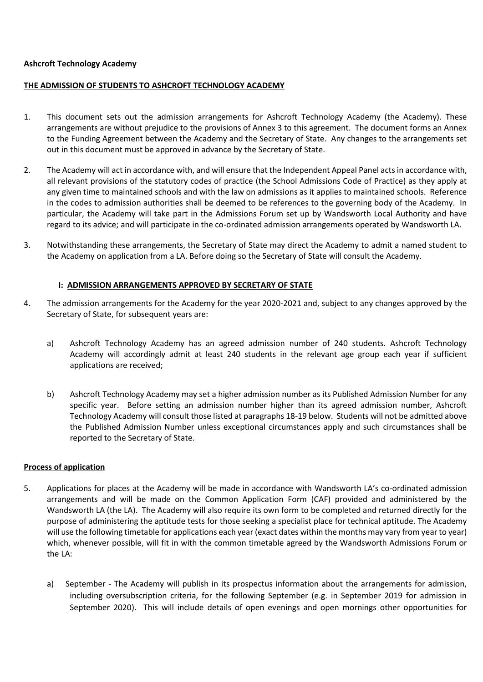#### **Ashcroft Technology Academy**

#### **THE ADMISSION OF STUDENTS TO ASHCROFT TECHNOLOGY ACADEMY**

- 1. This document sets out the admission arrangements for Ashcroft Technology Academy (the Academy). These arrangements are without prejudice to the provisions of Annex 3 to this agreement. The document forms an Annex to the Funding Agreement between the Academy and the Secretary of State. Any changes to the arrangements set out in this document must be approved in advance by the Secretary of State.
- 2. The Academy will act in accordance with, and will ensure that the Independent Appeal Panel acts in accordance with, all relevant provisions of the statutory codes of practice (the School Admissions Code of Practice) as they apply at any given time to maintained schools and with the law on admissions as it applies to maintained schools. Reference in the codes to admission authorities shall be deemed to be references to the governing body of the Academy. In particular, the Academy will take part in the Admissions Forum set up by Wandsworth Local Authority and have regard to its advice; and will participate in the co-ordinated admission arrangements operated by Wandsworth LA.
- 3. Notwithstanding these arrangements, the Secretary of State may direct the Academy to admit a named student to the Academy on application from a LA. Before doing so the Secretary of State will consult the Academy.

## **I: ADMISSION ARRANGEMENTS APPROVED BY SECRETARY OF STATE**

- 4. The admission arrangements for the Academy for the year 2020-2021 and, subject to any changes approved by the Secretary of State, for subsequent years are:
	- a) Ashcroft Technology Academy has an agreed admission number of 240 students. Ashcroft Technology Academy will accordingly admit at least 240 students in the relevant age group each year if sufficient applications are received;
	- b) Ashcroft Technology Academy may set a higher admission number as its Published Admission Number for any specific year. Before setting an admission number higher than its agreed admission number, Ashcroft Technology Academy will consult those listed at paragraphs 18-19 below. Students will not be admitted above the Published Admission Number unless exceptional circumstances apply and such circumstances shall be reported to the Secretary of State.

### **Process of application**

- 5. Applications for places at the Academy will be made in accordance with Wandsworth LA's co-ordinated admission arrangements and will be made on the Common Application Form (CAF) provided and administered by the Wandsworth LA (the LA). The Academy will also require its own form to be completed and returned directly for the purpose of administering the aptitude tests for those seeking a specialist place for technical aptitude. The Academy will use the following timetable for applications each year (exact dates within the months may vary from year to year) which, whenever possible, will fit in with the common timetable agreed by the Wandsworth Admissions Forum or the LA:
	- a) September The Academy will publish in its prospectus information about the arrangements for admission, including oversubscription criteria, for the following September (e.g. in September 2019 for admission in September 2020). This will include details of open evenings and open mornings other opportunities for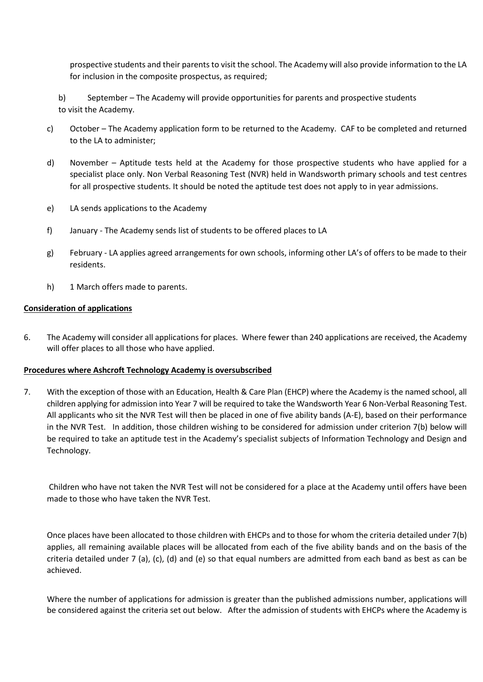prospective students and their parents to visit the school. The Academy will also provide information to the LA for inclusion in the composite prospectus, as required;

- b) September The Academy will provide opportunities for parents and prospective students to visit the Academy.
- c) October The Academy application form to be returned to the Academy. CAF to be completed and returned to the LA to administer;
- d) November Aptitude tests held at the Academy for those prospective students who have applied for a specialist place only. Non Verbal Reasoning Test (NVR) held in Wandsworth primary schools and test centres for all prospective students. It should be noted the aptitude test does not apply to in year admissions.
- e) LA sends applications to the Academy
- f) January The Academy sends list of students to be offered places to LA
- g) February LA applies agreed arrangements for own schools, informing other LA's of offers to be made to their residents.
- h) 1 March offers made to parents.

### **Consideration of applications**

6. The Academy will consider all applications for places. Where fewer than 240 applications are received, the Academy will offer places to all those who have applied.

### **Procedures where Ashcroft Technology Academy is oversubscribed**

7. With the exception of those with an Education, Health & Care Plan (EHCP) where the Academy is the named school, all children applying for admission into Year 7 will be required to take the Wandsworth Year 6 Non-Verbal Reasoning Test. All applicants who sit the NVR Test will then be placed in one of five ability bands (A-E), based on their performance in the NVR Test. In addition, those children wishing to be considered for admission under criterion 7(b) below will be required to take an aptitude test in the Academy's specialist subjects of Information Technology and Design and Technology.

Children who have not taken the NVR Test will not be considered for a place at the Academy until offers have been made to those who have taken the NVR Test.

Once places have been allocated to those children with EHCPs and to those for whom the criteria detailed under 7(b) applies, all remaining available places will be allocated from each of the five ability bands and on the basis of the criteria detailed under 7 (a), (c), (d) and (e) so that equal numbers are admitted from each band as best as can be achieved.

Where the number of applications for admission is greater than the published admissions number, applications will be considered against the criteria set out below. After the admission of students with EHCPs where the Academy is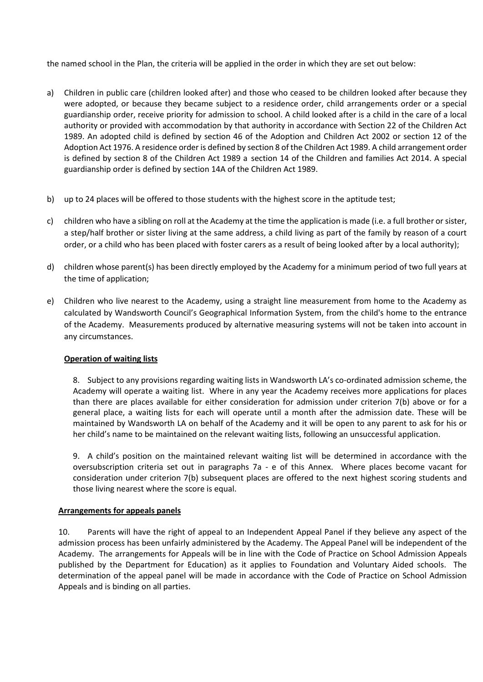the named school in the Plan, the criteria will be applied in the order in which they are set out below:

- a) Children in public care (children looked after) and those who ceased to be children looked after because they were adopted, or because they became subject to a residence order, child arrangements order or a special guardianship order, receive priority for admission to school. A child looked after is a child in the care of a local authority or provided with accommodation by that authority in accordance with Section 22 of the Children Act 1989. An adopted child is defined by section 46 of the Adoption and Children Act 2002 or section 12 of the Adoption Act 1976. A residence order is defined by section 8 of the Children Act 1989. A child arrangement order is defined by section 8 of the Children Act 1989 a section 14 of the Children and families Act 2014. A special guardianship order is defined by section 14A of the Children Act 1989.
- b) up to 24 places will be offered to those students with the highest score in the aptitude test;
- c) children who have a sibling on roll at the Academy at the time the application is made (i.e. a full brother or sister, a step/half brother or sister living at the same address, a child living as part of the family by reason of a court order, or a child who has been placed with foster carers as a result of being looked after by a local authority);
- d) children whose parent(s) has been directly employed by the Academy for a minimum period of two full years at the time of application;
- e) Children who live nearest to the Academy, using a straight line measurement from home to the Academy as calculated by Wandsworth Council's Geographical Information System, from the child's home to the entrance of the Academy. Measurements produced by alternative measuring systems will not be taken into account in any circumstances.

### **Operation of waiting lists**

8. Subject to any provisions regarding waiting lists in Wandsworth LA's co-ordinated admission scheme, the Academy will operate a waiting list. Where in any year the Academy receives more applications for places than there are places available for either consideration for admission under criterion 7(b) above or for a general place, a waiting lists for each will operate until a month after the admission date. These will be maintained by Wandsworth LA on behalf of the Academy and it will be open to any parent to ask for his or her child's name to be maintained on the relevant waiting lists, following an unsuccessful application.

9. A child's position on the maintained relevant waiting list will be determined in accordance with the oversubscription criteria set out in paragraphs 7a - e of this Annex. Where places become vacant for consideration under criterion 7(b) subsequent places are offered to the next highest scoring students and those living nearest where the score is equal.

### **Arrangements for appeals panels**

10. Parents will have the right of appeal to an Independent Appeal Panel if they believe any aspect of the admission process has been unfairly administered by the Academy. The Appeal Panel will be independent of the Academy. The arrangements for Appeals will be in line with the Code of Practice on School Admission Appeals published by the Department for Education) as it applies to Foundation and Voluntary Aided schools. The determination of the appeal panel will be made in accordance with the Code of Practice on School Admission Appeals and is binding on all parties.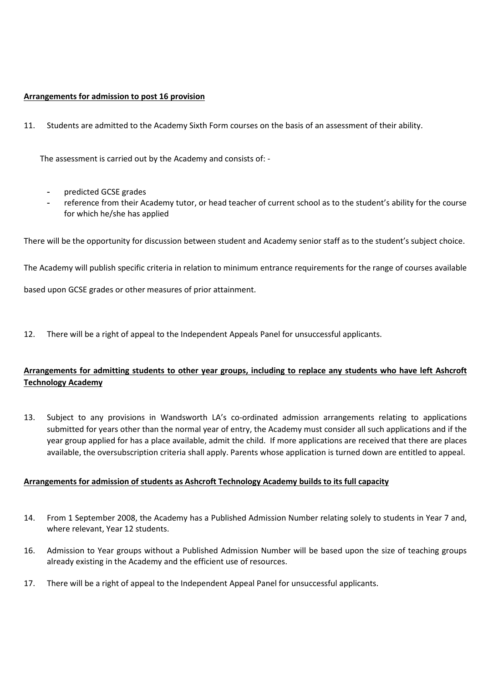# **Arrangements for admission to post 16 provision**

11. Students are admitted to the Academy Sixth Form courses on the basis of an assessment of their ability.

The assessment is carried out by the Academy and consists of: -

- predicted GCSE grades
- reference from their Academy tutor, or head teacher of current school as to the student's ability for the course for which he/she has applied

There will be the opportunity for discussion between student and Academy senior staff as to the student's subject choice.

The Academy will publish specific criteria in relation to minimum entrance requirements for the range of courses available

based upon GCSE grades or other measures of prior attainment.

12. There will be a right of appeal to the Independent Appeals Panel for unsuccessful applicants.

# **Arrangements for admitting students to other year groups, including to replace any students who have left Ashcroft Technology Academy**

13. Subject to any provisions in Wandsworth LA's co-ordinated admission arrangements relating to applications submitted for years other than the normal year of entry, the Academy must consider all such applications and if the year group applied for has a place available, admit the child. If more applications are received that there are places available, the oversubscription criteria shall apply. Parents whose application is turned down are entitled to appeal.

### **Arrangements for admission of students as Ashcroft Technology Academy builds to its full capacity**

- 14. From 1 September 2008, the Academy has a Published Admission Number relating solely to students in Year 7 and, where relevant, Year 12 students.
- 16. Admission to Year groups without a Published Admission Number will be based upon the size of teaching groups already existing in the Academy and the efficient use of resources.
- 17. There will be a right of appeal to the Independent Appeal Panel for unsuccessful applicants.